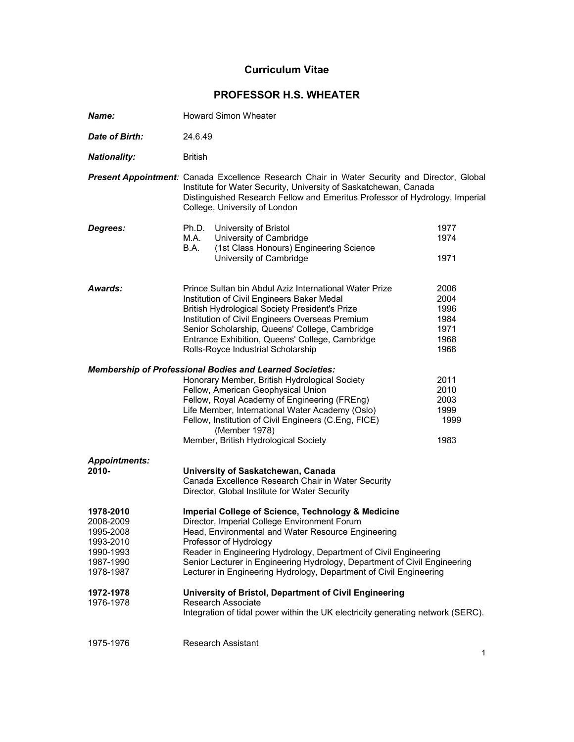# **Curriculum Vitae**

# **PROFESSOR H.S. WHEATER**

| Name:                                                                                                             | <b>Howard Simon Wheater</b>                                                                                                                                                                                                                                                                                                                                                                                                                                                                                                                                                  |                                                      |
|-------------------------------------------------------------------------------------------------------------------|------------------------------------------------------------------------------------------------------------------------------------------------------------------------------------------------------------------------------------------------------------------------------------------------------------------------------------------------------------------------------------------------------------------------------------------------------------------------------------------------------------------------------------------------------------------------------|------------------------------------------------------|
| Date of Birth:                                                                                                    | 24.6.49                                                                                                                                                                                                                                                                                                                                                                                                                                                                                                                                                                      |                                                      |
| <b>Nationality:</b>                                                                                               | <b>British</b>                                                                                                                                                                                                                                                                                                                                                                                                                                                                                                                                                               |                                                      |
|                                                                                                                   | <b>Present Appointment:</b> Canada Excellence Research Chair in Water Security and Director, Global<br>Institute for Water Security, University of Saskatchewan, Canada<br>Distinguished Research Fellow and Emeritus Professor of Hydrology, Imperial<br>College, University of London                                                                                                                                                                                                                                                                                      |                                                      |
| Degrees:                                                                                                          | Ph.D.<br>University of Bristol<br>University of Cambridge<br>M.A.<br>(1st Class Honours) Engineering Science<br>B.A.<br>University of Cambridge                                                                                                                                                                                                                                                                                                                                                                                                                              | 1977<br>1974<br>1971                                 |
| Awards:                                                                                                           | Prince Sultan bin Abdul Aziz International Water Prize<br>Institution of Civil Engineers Baker Medal<br><b>British Hydrological Society President's Prize</b><br>Institution of Civil Engineers Overseas Premium<br>Senior Scholarship, Queens' College, Cambridge<br>Entrance Exhibition, Queens' College, Cambridge<br>Rolls-Royce Industrial Scholarship                                                                                                                                                                                                                  | 2006<br>2004<br>1996<br>1984<br>1971<br>1968<br>1968 |
|                                                                                                                   | <b>Membership of Professional Bodies and Learned Societies:</b><br>Honorary Member, British Hydrological Society<br>Fellow, American Geophysical Union<br>Fellow, Royal Academy of Engineering (FREng)<br>Life Member, International Water Academy (Oslo)<br>Fellow, Institution of Civil Engineers (C.Eng, FICE)<br>(Member 1978)<br>Member, British Hydrological Society                                                                                                                                                                                                   | 2011<br>2010<br>2003<br>1999<br>1999<br>1983         |
| <b>Appointments:</b><br>$2010 -$                                                                                  | University of Saskatchewan, Canada<br>Canada Excellence Research Chair in Water Security<br>Director, Global Institute for Water Security                                                                                                                                                                                                                                                                                                                                                                                                                                    |                                                      |
| 1978-2010<br>2008-2009<br>1995-2008<br>1993-2010<br>1990-1993<br>1987-1990<br>1978-1987<br>1972-1978<br>1976-1978 | Imperial College of Science, Technology & Medicine<br>Director, Imperial College Environment Forum<br>Head, Environmental and Water Resource Engineering<br>Professor of Hydrology<br>Reader in Engineering Hydrology, Department of Civil Engineering<br>Senior Lecturer in Engineering Hydrology, Department of Civil Engineering<br>Lecturer in Engineering Hydrology, Department of Civil Engineering<br>University of Bristol, Department of Civil Engineering<br>Research Associate<br>Integration of tidal power within the UK electricity generating network (SERC). |                                                      |
| 1975-1976                                                                                                         | <b>Research Assistant</b>                                                                                                                                                                                                                                                                                                                                                                                                                                                                                                                                                    |                                                      |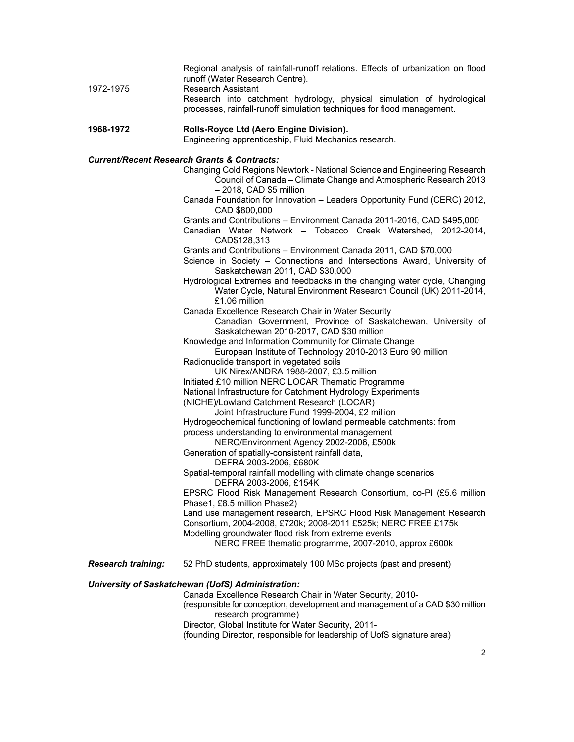| 1972-1975                                              | Regional analysis of rainfall-runoff relations. Effects of urbanization on flood<br>runoff (Water Research Centre).                                                            |  |
|--------------------------------------------------------|--------------------------------------------------------------------------------------------------------------------------------------------------------------------------------|--|
|                                                        | <b>Research Assistant</b><br>Research into catchment hydrology, physical simulation of hydrological                                                                            |  |
|                                                        | processes, rainfall-runoff simulation techniques for flood management.                                                                                                         |  |
| 1968-1972                                              | Rolls-Royce Ltd (Aero Engine Division).                                                                                                                                        |  |
|                                                        | Engineering apprenticeship, Fluid Mechanics research.                                                                                                                          |  |
| <b>Current/Recent Research Grants &amp; Contracts:</b> |                                                                                                                                                                                |  |
|                                                        | Changing Cold Regions Newtork - National Science and Engineering Research<br>Council of Canada - Climate Change and Atmospheric Research 2013<br>$-2018$ , CAD \$5 million     |  |
|                                                        | Canada Foundation for Innovation - Leaders Opportunity Fund (CERC) 2012,<br>CAD \$800,000                                                                                      |  |
|                                                        | Grants and Contributions - Environment Canada 2011-2016, CAD \$495,000                                                                                                         |  |
|                                                        | Canadian Water Network - Tobacco Creek Watershed, 2012-2014,<br>CAD\$128,313                                                                                                   |  |
|                                                        | Grants and Contributions - Environment Canada 2011, CAD \$70,000<br>Science in Society - Connections and Intersections Award, University of<br>Saskatchewan 2011, CAD \$30,000 |  |
|                                                        | Hydrological Extremes and feedbacks in the changing water cycle, Changing<br>Water Cycle, Natural Environment Research Council (UK) 2011-2014,<br>£1.06 million                |  |
|                                                        | Canada Excellence Research Chair in Water Security                                                                                                                             |  |
|                                                        | Canadian Government, Province of Saskatchewan, University of<br>Saskatchewan 2010-2017, CAD \$30 million                                                                       |  |
|                                                        | Knowledge and Information Community for Climate Change                                                                                                                         |  |
|                                                        | European Institute of Technology 2010-2013 Euro 90 million                                                                                                                     |  |
|                                                        | Radionuclide transport in vegetated soils<br>UK Nirex/ANDRA 1988-2007, £3.5 million                                                                                            |  |
|                                                        | Initiated £10 million NERC LOCAR Thematic Programme                                                                                                                            |  |
|                                                        | National Infrastructure for Catchment Hydrology Experiments                                                                                                                    |  |
|                                                        | (NICHE)/Lowland Catchment Research (LOCAR)                                                                                                                                     |  |
|                                                        | Joint Infrastructure Fund 1999-2004, £2 million                                                                                                                                |  |
|                                                        | Hydrogeochemical functioning of lowland permeable catchments: from                                                                                                             |  |
|                                                        | process understanding to environmental management                                                                                                                              |  |
|                                                        | NERC/Environment Agency 2002-2006, £500k<br>Generation of spatially-consistent rainfall data,                                                                                  |  |
|                                                        | DEFRA 2003-2006, £680K                                                                                                                                                         |  |
|                                                        | Spatial-temporal rainfall modelling with climate change scenarios<br>DEFRA 2003-2006, £154K                                                                                    |  |
|                                                        | EPSRC Flood Risk Management Research Consortium, co-PI (£5.6 million<br>Phase1, £8.5 million Phase2)                                                                           |  |
|                                                        | Land use management research, EPSRC Flood Risk Management Research                                                                                                             |  |
|                                                        | Consortium, 2004-2008, £720k; 2008-2011 £525k; NERC FREE £175k                                                                                                                 |  |
|                                                        | Modelling groundwater flood risk from extreme events<br>NERC FREE thematic programme, 2007-2010, approx £600k                                                                  |  |
| <b>Research training:</b>                              | 52 PhD students, approximately 100 MSc projects (past and present)                                                                                                             |  |
| University of Saskatchewan (UofS) Administration:      |                                                                                                                                                                                |  |
|                                                        | Canada Excellence Research Chair in Water Security, 2010-                                                                                                                      |  |
|                                                        | (responsible for conception, development and management of a CAD \$30 million<br>research programme)                                                                           |  |

Director, Global Institute for Water Security, 2011-

(founding Director, responsible for leadership of UofS signature area)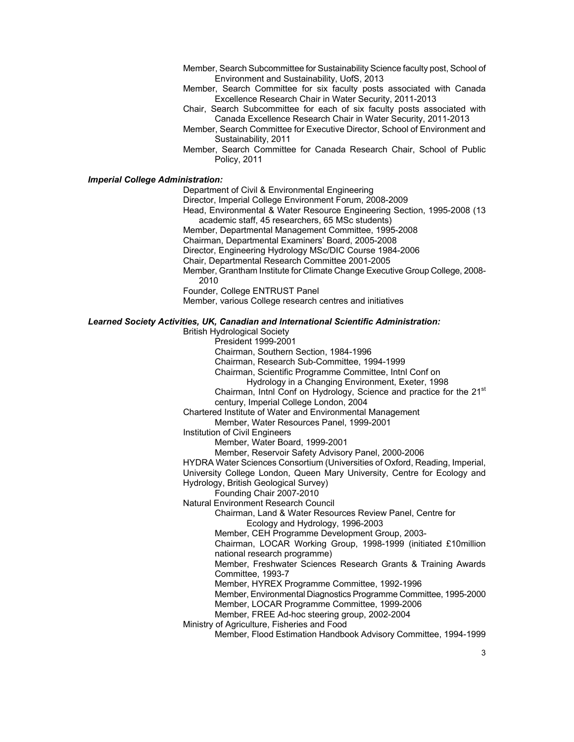- Member, Search Subcommittee for Sustainability Science faculty post, School of Environment and Sustainability, UofS, 2013
- Member, Search Committee for six faculty posts associated with Canada Excellence Research Chair in Water Security, 2011-2013
- Chair, Search Subcommittee for each of six faculty posts associated with Canada Excellence Research Chair in Water Security, 2011-2013
- Member, Search Committee for Executive Director, School of Environment and Sustainability, 2011
- Member, Search Committee for Canada Research Chair, School of Public Policy, 2011

## *Imperial College Administration:*

Department of Civil & Environmental Engineering

Director, Imperial College Environment Forum, 2008-2009

Head, Environmental & Water Resource Engineering Section, 1995-2008 (13 academic staff, 45 researchers, 65 MSc students)

Member, Departmental Management Committee, 1995-2008

Chairman, Departmental Examiners' Board, 2005-2008

Director, Engineering Hydrology MSc/DIC Course 1984-2006

Chair, Departmental Research Committee 2001-2005

Member, Grantham Institute for Climate Change Executive Group College, 2008-

2010

Founder, College ENTRUST Panel

Member, various College research centres and initiatives

# *Learned Society Activities, UK, Canadian and International Scientific Administration:*

British Hydrological Society

President 1999-2001

Chairman, Southern Section, 1984-1996

Chairman, Research Sub-Committee, 1994-1999

Chairman, Scientific Programme Committee, Intnl Conf on

Hydrology in a Changing Environment, Exeter, 1998

Chairman, Intnl Conf on Hydrology, Science and practice for the 21<sup>st</sup> century, Imperial College London, 2004

Chartered Institute of Water and Environmental Management

Member, Water Resources Panel, 1999-2001

Institution of Civil Engineers

Member, Water Board, 1999-2001

Member, Reservoir Safety Advisory Panel, 2000-2006

HYDRA Water Sciences Consortium (Universities of Oxford, Reading, Imperial, University College London, Queen Mary University, Centre for Ecology and Hydrology, British Geological Survey)

Founding Chair 2007-2010

Natural Environment Research Council

Chairman, Land & Water Resources Review Panel, Centre for Ecology and Hydrology, 1996-2003

Member, CEH Programme Development Group, 2003-

Chairman, LOCAR Working Group, 1998-1999 (initiated £10million national research programme)

Member, Freshwater Sciences Research Grants & Training Awards Committee, 1993-7

Member, HYREX Programme Committee, 1992-1996

Member, Environmental Diagnostics Programme Committee, 1995-2000 Member, LOCAR Programme Committee, 1999-2006

Member, FREE Ad-hoc steering group, 2002-2004

Ministry of Agriculture, Fisheries and Food

Member, Flood Estimation Handbook Advisory Committee, 1994-1999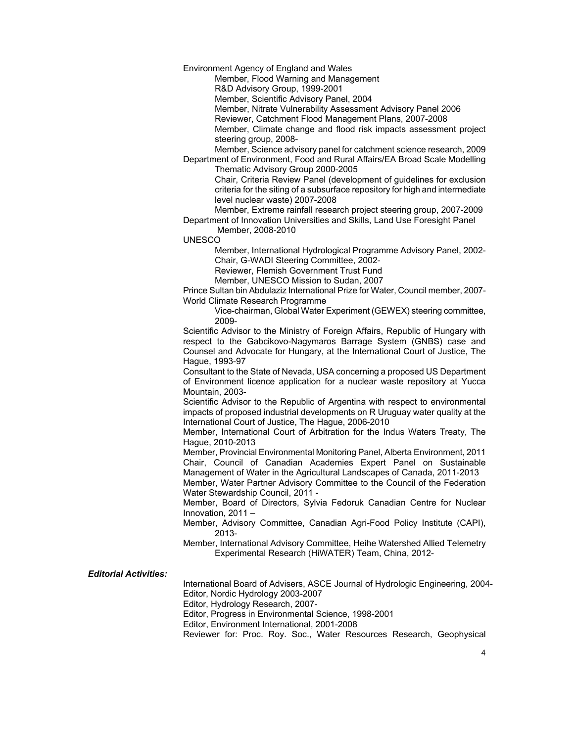Environment Agency of England and Wales

Member, Flood Warning and Management

R&D Advisory Group, 1999-2001

Member, Scientific Advisory Panel, 2004

Member, Nitrate Vulnerability Assessment Advisory Panel 2006

Reviewer, Catchment Flood Management Plans, 2007-2008

Member, Climate change and flood risk impacts assessment project steering group, 2008-

Member, Science advisory panel for catchment science research, 2009 Department of Environment, Food and Rural Affairs/EA Broad Scale Modelling Thematic Advisory Group 2000-2005

Chair, Criteria Review Panel (development of guidelines for exclusion criteria for the siting of a subsurface repository for high and intermediate level nuclear waste) 2007-2008

Member, Extreme rainfall research project steering group, 2007-2009 Department of Innovation Universities and Skills, Land Use Foresight Panel

Member, 2008-2010

UNESCO

Member, International Hydrological Programme Advisory Panel, 2002- Chair, G-WADI Steering Committee, 2002-

Reviewer, Flemish Government Trust Fund

Member, UNESCO Mission to Sudan, 2007

 Prince Sultan bin Abdulaziz International Prize for Water, Council member, 2007- World Climate Research Programme

Vice-chairman, Global Water Experiment (GEWEX) steering committee, 2009-

Scientific Advisor to the Ministry of Foreign Affairs, Republic of Hungary with respect to the Gabcikovo-Nagymaros Barrage System (GNBS) case and Counsel and Advocate for Hungary, at the International Court of Justice, The Hague, 1993-97

Consultant to the State of Nevada, USA concerning a proposed US Department of Environment licence application for a nuclear waste repository at Yucca Mountain, 2003-

Scientific Advisor to the Republic of Argentina with respect to environmental impacts of proposed industrial developments on R Uruguay water quality at the International Court of Justice, The Hague, 2006-2010

Member, International Court of Arbitration for the Indus Waters Treaty, The Hague, 2010-2013

Member, Provincial Environmental Monitoring Panel, Alberta Environment, 2011 Chair, Council of Canadian Academies Expert Panel on Sustainable Management of Water in the Agricultural Landscapes of Canada, 2011-2013

Member, Water Partner Advisory Committee to the Council of the Federation Water Stewardship Council, 2011 -

Member, Board of Directors, Sylvia Fedoruk Canadian Centre for Nuclear Innovation, 2011 –

Member, Advisory Committee, Canadian Agri-Food Policy Institute (CAPI), 2013-

Member, International Advisory Committee, Heihe Watershed Allied Telemetry Experimental Research (HiWATER) Team, China, 2012-

*Editorial Activities:* 

 International Board of Advisers, ASCE Journal of Hydrologic Engineering, 2004- Editor, Nordic Hydrology 2003-2007

Editor, Hydrology Research, 2007-

Editor, Progress in Environmental Science, 1998-2001

Editor, Environment International, 2001-2008

Reviewer for: Proc. Roy. Soc., Water Resources Research, Geophysical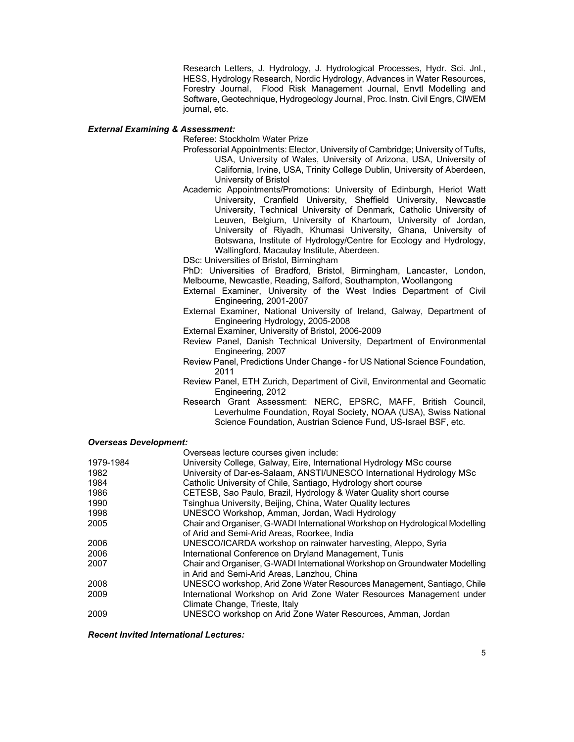Research Letters, J. Hydrology, J. Hydrological Processes, Hydr. Sci. Jnl., HESS, Hydrology Research, Nordic Hydrology, Advances in Water Resources, Forestry Journal, Flood Risk Management Journal, Envtl Modelling and Software, Geotechnique, Hydrogeology Journal, Proc. Instn. Civil Engrs, CIWEM journal, etc.

## *External Examining & Assessment:*

Referee: Stockholm Water Prize

- Professorial Appointments: Elector, University of Cambridge; University of Tufts, USA, University of Wales, University of Arizona, USA, University of California, Irvine, USA, Trinity College Dublin, University of Aberdeen, University of Bristol
- Academic Appointments/Promotions: University of Edinburgh, Heriot Watt University, Cranfield University, Sheffield University, Newcastle University, Technical University of Denmark, Catholic University of Leuven, Belgium, University of Khartoum, University of Jordan, University of Riyadh, Khumasi University, Ghana, University of Botswana, Institute of Hydrology/Centre for Ecology and Hydrology, Wallingford, Macaulay Institute, Aberdeen.

DSc: Universities of Bristol, Birmingham

PhD: Universities of Bradford, Bristol, Birmingham, Lancaster, London, Melbourne, Newcastle, Reading, Salford, Southampton, Woollangong

External Examiner, University of the West Indies Department of Civil Engineering, 2001-2007

External Examiner, National University of Ireland, Galway, Department of Engineering Hydrology, 2005-2008

External Examiner, University of Bristol, 2006-2009

- Review Panel, Danish Technical University, Department of Environmental Engineering, 2007
- Review Panel, Predictions Under Change for US National Science Foundation, 2011
- Review Panel, ETH Zurich, Department of Civil, Environmental and Geomatic Engineering, 2012
- Research Grant Assessment: NERC, EPSRC, MAFF, British Council, Leverhulme Foundation, Royal Society, NOAA (USA), Swiss National Science Foundation, Austrian Science Fund, US-Israel BSF, etc.

#### *Overseas Development:*

|           | Overseas lecture courses given include:                                      |
|-----------|------------------------------------------------------------------------------|
| 1979-1984 | University College, Galway, Eire, International Hydrology MSc course         |
| 1982      | University of Dar-es-Salaam, ANSTI/UNESCO International Hydrology MSc        |
| 1984      | Catholic University of Chile, Santiago, Hydrology short course               |
| 1986      | CETESB, Sao Paulo, Brazil, Hydrology & Water Quality short course            |
| 1990      | Tsinghua University, Beijing, China, Water Quality lectures                  |
| 1998      | UNESCO Workshop, Amman, Jordan, Wadi Hydrology                               |
| 2005      | Chair and Organiser, G-WADI International Workshop on Hydrological Modelling |
|           | of Arid and Semi-Arid Areas, Roorkee, India                                  |
| 2006      | UNESCO/ICARDA workshop on rainwater harvesting, Aleppo, Syria                |
| 2006      | International Conference on Dryland Management, Tunis                        |
| 2007      | Chair and Organiser, G-WADI International Workshop on Groundwater Modelling  |
|           | in Arid and Semi-Arid Areas, Lanzhou, China                                  |
| 2008      | UNESCO workshop, Arid Zone Water Resources Management, Santiago, Chile       |
| 2009      | International Workshop on Arid Zone Water Resources Management under         |
|           | Climate Change, Trieste, Italy                                               |
| 2009      | UNESCO workshop on Arid Zone Water Resources, Amman, Jordan                  |

*Recent Invited International Lectures:*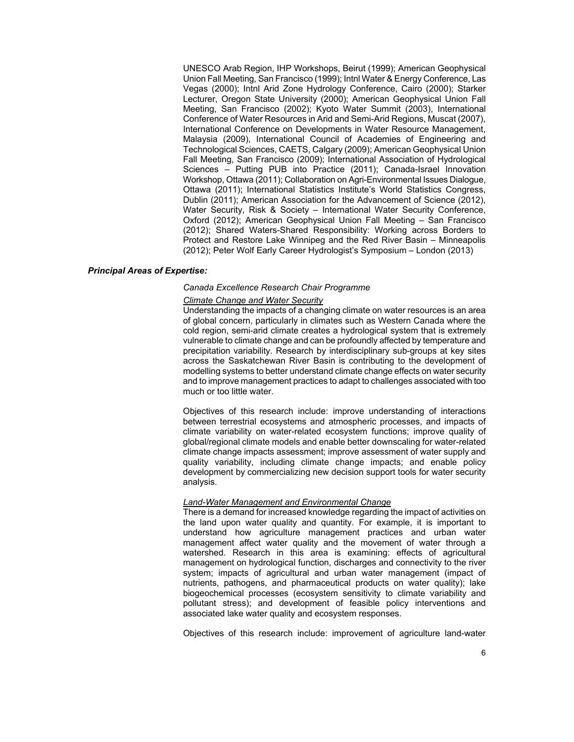UNESCO Arab Region, IHP Workshops, Beirut (1999); American Geophysical Union Fall Meeting, San Francisco (1999); Intnl Water & Energy Conference, Las Vegas (2000); Intnl Arid Zone Hydrology Conference, Cairo (2000); Starker Lecturer, Oregon State University (2000); American Geophysical Union Fall Meeting, San Francisco (2002); Kyoto Water Summit (2003), International Conference of Water Resources in Arid and Semi-Arid Regions, Muscat (2007), International Conference on Developments in Water Resource Management, Malaysia (2009), International Council of Academies of Engineering and Technological Sciences, CAETS, Calgary (2009); American Geophysical Union Fall Meeting, San Francisco (2009); International Association of Hydrological Sciences – Putting PUB into Practice (2011); Canada-Israel Innovation Workshop, Ottawa (2011); Collaboration on Agri-Environmental Issues Dialogue, Ottawa (2011); International Statistics Institute's World Statistics Congress, Dublin (2011); American Association for the Advancement of Science (2012), Water Security, Risk & Society – International Water Security Conference, Oxford (2012); American Geophysical Union Fall Meeting – San Francisco (2012); Shared Waters-Shared Responsibility: Working across Borders to Protect and Restore Lake Winnipeg and the Red River Basin – Minneapolis (2012); Peter Wolf Early Career Hydrologist's Symposium – London (2013)

## *Principal Areas of Expertise:*

## *Canada Excellence Research Chair Programme*

## *Climate Change and Water Security*

Understanding the impacts of a changing climate on water resources is an area of global concern, particularly in climates such as Western Canada where the cold region, semi-arid climate creates a hydrological system that is extremely vulnerable to climate change and can be profoundly affected by temperature and precipitation variability. Research by interdisciplinary sub-groups at key sites across the Saskatchewan River Basin is contributing to the development of modelling systems to better understand climate change effects on water security and to improve management practices to adapt to challenges associated with too much or too little water.

Objectives of this research include: improve understanding of interactions between terrestrial ecosystems and atmospheric processes, and impacts of climate variability on water-related ecosystem functions; improve quality of global/regional climate models and enable better downscaling for water-related climate change impacts assessment; improve assessment of water supply and quality variability, including climate change impacts; and enable policy development by commercializing new decision support tools for water security analysis.

#### *Land-Water Management and Environmental Change*

There is a demand for increased knowledge regarding the impact of activities on the land upon water quality and quantity. For example, it is important to understand how agriculture management practices and urban water management affect water quality and the movement of water through a watershed. Research in this area is examining: effects of agricultural management on hydrological function, discharges and connectivity to the river system; impacts of agricultural and urban water management (impact of nutrients, pathogens, and pharmaceutical products on water quality); lake biogeochemical processes (ecosystem sensitivity to climate variability and pollutant stress); and development of feasible policy interventions and associated lake water quality and ecosystem responses.

Objectives of this research include: improvement of agriculture land-water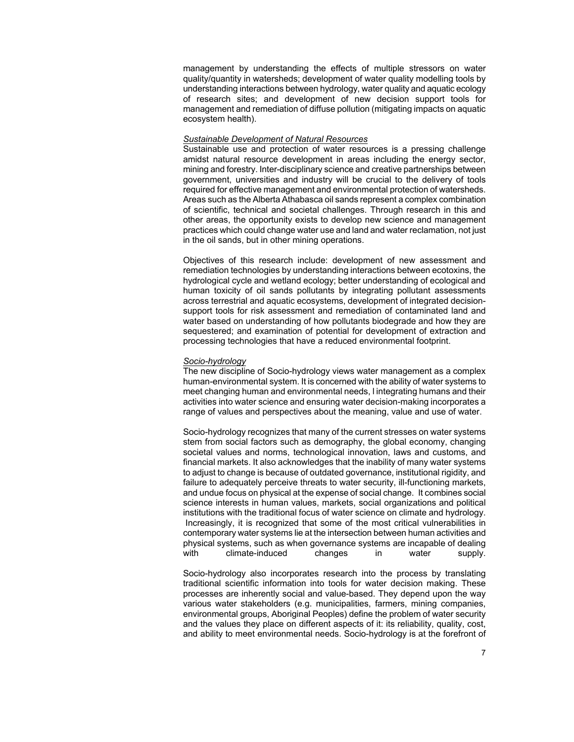management by understanding the effects of multiple stressors on water quality/quantity in watersheds; development of water quality modelling tools by understanding interactions between hydrology, water quality and aquatic ecology of research sites; and development of new decision support tools for management and remediation of diffuse pollution (mitigating impacts on aquatic ecosystem health).

# *Sustainable Development of Natural Resources*

Sustainable use and protection of water resources is a pressing challenge amidst natural resource development in areas including the energy sector, mining and forestry. Inter-disciplinary science and creative partnerships between government, universities and industry will be crucial to the delivery of tools required for effective management and environmental protection of watersheds. Areas such as the Alberta Athabasca oil sands represent a complex combination of scientific, technical and societal challenges. Through research in this and other areas, the opportunity exists to develop new science and management practices which could change water use and land and water reclamation, not just in the oil sands, but in other mining operations.

Objectives of this research include: development of new assessment and remediation technologies by understanding interactions between ecotoxins, the hydrological cycle and wetland ecology; better understanding of ecological and human toxicity of oil sands pollutants by integrating pollutant assessments across terrestrial and aquatic ecosystems, development of integrated decisionsupport tools for risk assessment and remediation of contaminated land and water based on understanding of how pollutants biodegrade and how they are sequestered; and examination of potential for development of extraction and processing technologies that have a reduced environmental footprint.

# *Socio-hydrology*

The new discipline of Socio-hydrology views water management as a complex human-environmental system. It is concerned with the ability of water systems to meet changing human and environmental needs, l integrating humans and their activities into water science and ensuring water decision-making incorporates a range of values and perspectives about the meaning, value and use of water.

Socio-hydrology recognizes that many of the current stresses on water systems stem from social factors such as demography, the global economy, changing societal values and norms, technological innovation, laws and customs, and financial markets. It also acknowledges that the inability of many water systems to adjust to change is because of outdated governance, institutional rigidity, and failure to adequately perceive threats to water security, ill-functioning markets, and undue focus on physical at the expense of social change. It combines social science interests in human values, markets, social organizations and political institutions with the traditional focus of water science on climate and hydrology. Increasingly, it is recognized that some of the most critical vulnerabilities in contemporary water systems lie at the intersection between human activities and physical systems, such as when governance systems are incapable of dealing with climate-induced changes in water supply.

Socio-hydrology also incorporates research into the process by translating traditional scientific information into tools for water decision making. These processes are inherently social and value-based. They depend upon the way various water stakeholders (e.g. municipalities, farmers, mining companies, environmental groups, Aboriginal Peoples) define the problem of water security and the values they place on different aspects of it: its reliability, quality, cost, and ability to meet environmental needs. Socio-hydrology is at the forefront of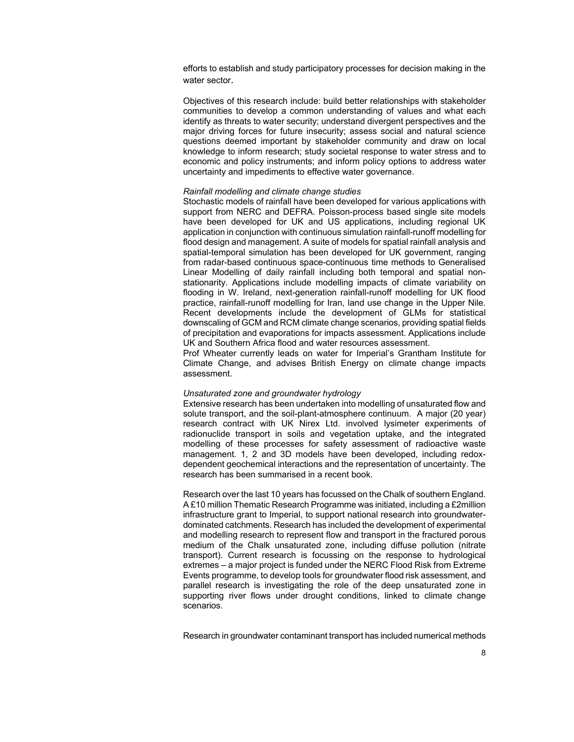efforts to establish and study participatory processes for decision making in the water sector.

Objectives of this research include: build better relationships with stakeholder communities to develop a common understanding of values and what each identify as threats to water security; understand divergent perspectives and the major driving forces for future insecurity; assess social and natural science questions deemed important by stakeholder community and draw on local knowledge to inform research; study societal response to water stress and to economic and policy instruments; and inform policy options to address water uncertainty and impediments to effective water governance.

## *Rainfall modelling and climate change studies*

Stochastic models of rainfall have been developed for various applications with support from NERC and DEFRA. Poisson-process based single site models have been developed for UK and US applications, including regional UK application in conjunction with continuous simulation rainfall-runoff modelling for flood design and management. A suite of models for spatial rainfall analysis and spatial-temporal simulation has been developed for UK government, ranging from radar-based continuous space-continuous time methods to Generalised Linear Modelling of daily rainfall including both temporal and spatial nonstationarity. Applications include modelling impacts of climate variability on flooding in W. Ireland, next-generation rainfall-runoff modelling for UK flood practice, rainfall-runoff modelling for Iran, land use change in the Upper Nile. Recent developments include the development of GLMs for statistical downscaling of GCM and RCM climate change scenarios, providing spatial fields of precipitation and evaporations for impacts assessment. Applications include UK and Southern Africa flood and water resources assessment.

Prof Wheater currently leads on water for Imperial's Grantham Institute for Climate Change, and advises British Energy on climate change impacts assessment.

## *Unsaturated zone and groundwater hydrology*

Extensive research has been undertaken into modelling of unsaturated flow and solute transport, and the soil-plant-atmosphere continuum. A major (20 year) research contract with UK Nirex Ltd. involved lysimeter experiments of radionuclide transport in soils and vegetation uptake, and the integrated modelling of these processes for safety assessment of radioactive waste management. 1, 2 and 3D models have been developed, including redoxdependent geochemical interactions and the representation of uncertainty. The research has been summarised in a recent book.

Research over the last 10 years has focussed on the Chalk of southern England. A £10 million Thematic Research Programme was initiated, including a £2million infrastructure grant to Imperial, to support national research into groundwaterdominated catchments. Research has included the development of experimental and modelling research to represent flow and transport in the fractured porous medium of the Chalk unsaturated zone, including diffuse pollution (nitrate transport). Current research is focussing on the response to hydrological extremes – a major project is funded under the NERC Flood Risk from Extreme Events programme, to develop tools for groundwater flood risk assessment, and parallel research is investigating the role of the deep unsaturated zone in supporting river flows under drought conditions, linked to climate change scenarios.

Research in groundwater contaminant transport has included numerical methods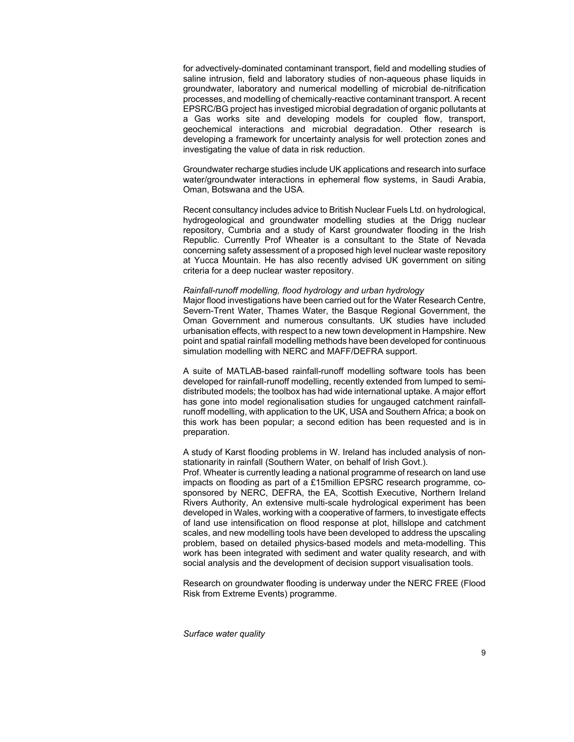for advectively-dominated contaminant transport, field and modelling studies of saline intrusion, field and laboratory studies of non-aqueous phase liquids in groundwater, laboratory and numerical modelling of microbial de-nitrification processes, and modelling of chemically-reactive contaminant transport. A recent EPSRC/BG project has investiged microbial degradation of organic pollutants at a Gas works site and developing models for coupled flow, transport, geochemical interactions and microbial degradation. Other research is developing a framework for uncertainty analysis for well protection zones and investigating the value of data in risk reduction.

Groundwater recharge studies include UK applications and research into surface water/groundwater interactions in ephemeral flow systems, in Saudi Arabia, Oman, Botswana and the USA.

Recent consultancy includes advice to British Nuclear Fuels Ltd. on hydrological, hydrogeological and groundwater modelling studies at the Drigg nuclear repository, Cumbria and a study of Karst groundwater flooding in the Irish Republic. Currently Prof Wheater is a consultant to the State of Nevada concerning safety assessment of a proposed high level nuclear waste repository at Yucca Mountain. He has also recently advised UK government on siting criteria for a deep nuclear waster repository.

## *Rainfall-runoff modelling, flood hydrology and urban hydrology*

Major flood investigations have been carried out for the Water Research Centre, Severn-Trent Water, Thames Water, the Basque Regional Government, the Oman Government and numerous consultants. UK studies have included urbanisation effects, with respect to a new town development in Hampshire. New point and spatial rainfall modelling methods have been developed for continuous simulation modelling with NERC and MAFF/DEFRA support.

A suite of MATLAB-based rainfall-runoff modelling software tools has been developed for rainfall-runoff modelling, recently extended from lumped to semidistributed models; the toolbox has had wide international uptake. A major effort has gone into model regionalisation studies for ungauged catchment rainfallrunoff modelling, with application to the UK, USA and Southern Africa; a book on this work has been popular; a second edition has been requested and is in preparation.

A study of Karst flooding problems in W. Ireland has included analysis of nonstationarity in rainfall (Southern Water, on behalf of Irish Govt.).

Prof. Wheater is currently leading a national programme of research on land use impacts on flooding as part of a £15million EPSRC research programme, cosponsored by NERC, DEFRA, the EA, Scottish Executive, Northern Ireland Rivers Authority, An extensive multi-scale hydrological experiment has been developed in Wales, working with a cooperative of farmers, to investigate effects of land use intensification on flood response at plot, hillslope and catchment scales, and new modelling tools have been developed to address the upscaling problem, based on detailed physics-based models and meta-modelling. This work has been integrated with sediment and water quality research, and with social analysis and the development of decision support visualisation tools.

Research on groundwater flooding is underway under the NERC FREE (Flood Risk from Extreme Events) programme.

*Surface water quality*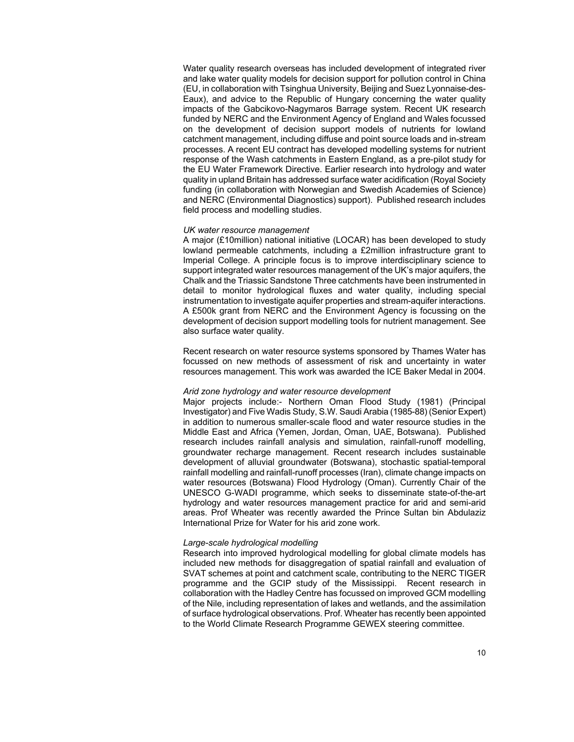Water quality research overseas has included development of integrated river and lake water quality models for decision support for pollution control in China (EU, in collaboration with Tsinghua University, Beijing and Suez Lyonnaise-des-Eaux), and advice to the Republic of Hungary concerning the water quality impacts of the Gabcikovo-Nagymaros Barrage system. Recent UK research funded by NERC and the Environment Agency of England and Wales focussed on the development of decision support models of nutrients for lowland catchment management, including diffuse and point source loads and in-stream processes. A recent EU contract has developed modelling systems for nutrient response of the Wash catchments in Eastern England, as a pre-pilot study for the EU Water Framework Directive. Earlier research into hydrology and water quality in upland Britain has addressed surface water acidification (Royal Society funding (in collaboration with Norwegian and Swedish Academies of Science) and NERC (Environmental Diagnostics) support). Published research includes field process and modelling studies.

## *UK water resource management*

A major (£10million) national initiative (LOCAR) has been developed to study lowland permeable catchments, including a £2million infrastructure grant to Imperial College. A principle focus is to improve interdisciplinary science to support integrated water resources management of the UK's major aquifers, the Chalk and the Triassic Sandstone Three catchments have been instrumented in detail to monitor hydrological fluxes and water quality, including special instrumentation to investigate aquifer properties and stream-aquifer interactions. A £500k grant from NERC and the Environment Agency is focussing on the development of decision support modelling tools for nutrient management. See also surface water quality.

Recent research on water resource systems sponsored by Thames Water has focussed on new methods of assessment of risk and uncertainty in water resources management. This work was awarded the ICE Baker Medal in 2004.

### *Arid zone hydrology and water resource development*

Major projects include:- Northern Oman Flood Study (1981) (Principal Investigator) and Five Wadis Study, S.W. Saudi Arabia (1985-88) (Senior Expert) in addition to numerous smaller-scale flood and water resource studies in the Middle East and Africa (Yemen, Jordan, Oman, UAE, Botswana). Published research includes rainfall analysis and simulation, rainfall-runoff modelling, groundwater recharge management. Recent research includes sustainable development of alluvial groundwater (Botswana), stochastic spatial-temporal rainfall modelling and rainfall-runoff processes (Iran), climate change impacts on water resources (Botswana) Flood Hydrology (Oman). Currently Chair of the UNESCO G-WADI programme, which seeks to disseminate state-of-the-art hydrology and water resources management practice for arid and semi-arid areas. Prof Wheater was recently awarded the Prince Sultan bin Abdulaziz International Prize for Water for his arid zone work.

# *Large-scale hydrological modelling*

Research into improved hydrological modelling for global climate models has included new methods for disaggregation of spatial rainfall and evaluation of SVAT schemes at point and catchment scale, contributing to the NERC TIGER programme and the GCIP study of the Mississippi. Recent research in collaboration with the Hadley Centre has focussed on improved GCM modelling of the Nile, including representation of lakes and wetlands, and the assimilation of surface hydrological observations. Prof. Wheater has recently been appointed to the World Climate Research Programme GEWEX steering committee.